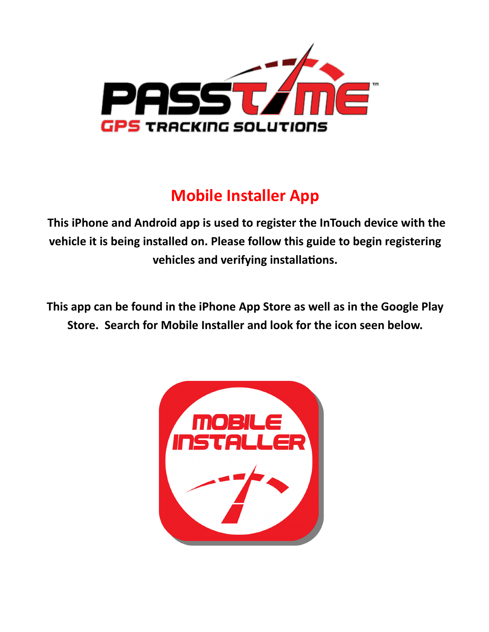

## **Mobile Installer App**

**This iPhone and Android app is used to register the InTouch device with the vehicle it is being installed on. Please follow this guide to begin registering vehicles and verifying installations.** 

**This app can be found in the iPhone App Store as well as in the Google Play Store. Search for Mobile Installer and look for the icon seen below.**

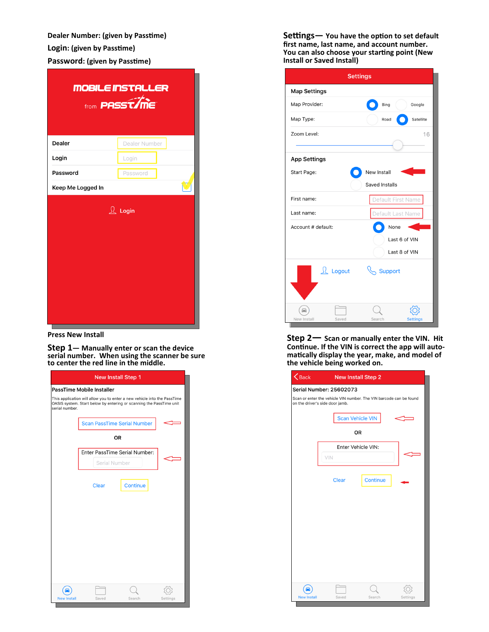**Dealer Number: (given by Passtime) Login: (given by Passtime) Password: (given by Passtime)**

|                   | <b>MOBILE INSTALLER</b><br>from <b>PASST/ME</b> |
|-------------------|-------------------------------------------------|
| <b>Dealer</b>     | Dealer Number                                   |
| Login             | Login                                           |
| Password          | Password                                        |
| Keep Me Logged In |                                                 |
|                   | $\Omega$ Login                                  |

**Press New Install**

**Step 1— Manually enter or scan the device serial number. When using the scanner be sure to center the red line in the middle.** 

|                    | <b>New Install Step 1</b>                                                                                                                       |          |          |
|--------------------|-------------------------------------------------------------------------------------------------------------------------------------------------|----------|----------|
|                    | PassTime Mobile Installer                                                                                                                       |          |          |
| serial number.     | This application will allow you to enter a new vehicle into the PassTime<br>OASIS system. Start below by entering or scanning the PassTime unit |          |          |
|                    | <b>Scan PassTime Serial Number</b>                                                                                                              |          |          |
|                    | OR                                                                                                                                              |          |          |
|                    | Enter PassTime Serial Number:                                                                                                                   |          |          |
|                    | Serial Number                                                                                                                                   |          |          |
|                    | Clear                                                                                                                                           | Continue |          |
|                    |                                                                                                                                                 |          |          |
|                    |                                                                                                                                                 |          |          |
|                    |                                                                                                                                                 |          |          |
|                    |                                                                                                                                                 |          |          |
|                    |                                                                                                                                                 |          |          |
|                    |                                                                                                                                                 |          |          |
| <b>New Install</b> | Saved                                                                                                                                           | Search   | Settings |

**Settings— You have the option to set default first name, last name, and account number. You can also choose your starting point (New Install or Saved Install)**

| <b>Settings</b>             |                           |
|-----------------------------|---------------------------|
| <b>Map Settings</b>         |                           |
| Map Provider:               | Bing<br>Google            |
| Map Type:                   | Satellite<br>Road         |
| Zoom Level:                 | 16                        |
| <b>App Settings</b>         |                           |
| Start Page:                 | New Install               |
|                             | Saved Installs            |
| First name:                 | Default First Name        |
| Last name:                  | Default Last Name         |
| Account # default:          | None                      |
|                             | Last 6 of VIN             |
|                             | Last 8 of VIN             |
| <b>L</b> Logout             | Support                   |
| t m<br>New Install<br>Saved | Search<br><b>Settings</b> |

**Step 2— Scan or manually enter the VIN. Hit Continue. If the VIN is correct the app will automatically display the year, make, and model of the vehicle being worked on.**

| $\overline{\bigotimes}$ Back | New Install Step 2              |                                                                    |          |
|------------------------------|---------------------------------|--------------------------------------------------------------------|----------|
|                              | <b>Serial Number: 25602073</b>  |                                                                    |          |
|                              | on the driver's side door jamb. | Scan or enter the vehicle VIN number. The VIN barcode can be found |          |
|                              |                                 | <b>Scan Vehicle VIN</b>                                            |          |
|                              |                                 | <b>OR</b>                                                          |          |
|                              |                                 | Enter Vehicle VIN:                                                 |          |
|                              | VIN                             |                                                                    |          |
|                              | <b>Clear</b>                    | Continue                                                           |          |
|                              |                                 |                                                                    |          |
|                              |                                 |                                                                    |          |
|                              |                                 |                                                                    |          |
|                              |                                 |                                                                    |          |
|                              |                                 |                                                                    |          |
|                              |                                 |                                                                    |          |
|                              |                                 |                                                                    |          |
| <b>New Install</b>           | Saved                           | Search                                                             | Settings |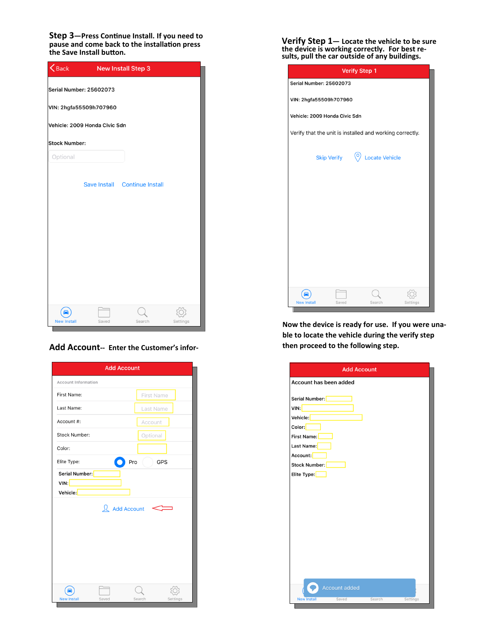**Step 3—Press Continue Install. If you need to pause and come back to the installation press the Save Install button.** 

| $\overline{\mathbf{S}}$ Back |                               | New Install Step 3            |          |
|------------------------------|-------------------------------|-------------------------------|----------|
|                              | Serial Number: 25602073       |                               |          |
|                              | VIN: 2hgfa55509h707960        |                               |          |
|                              | Vehicle: 2009 Honda Civic Sdn |                               |          |
| <b>Stock Number:</b>         |                               |                               |          |
| Optional                     |                               |                               |          |
|                              |                               | Save Install Continue Install |          |
|                              |                               |                               |          |
|                              |                               |                               |          |
|                              |                               |                               |          |
|                              |                               |                               |          |
|                              |                               |                               |          |
|                              |                               |                               |          |
| <b>New Install</b>           | Saved                         | Search                        | Settings |

## **Add Account-- Enter the Customer's infor-**

| <b>Add Account</b>                                       |                    |
|----------------------------------------------------------|--------------------|
| <b>Account Information</b>                               |                    |
| First Name:                                              | First Name         |
| Last Name:                                               | Last Name          |
| Account #:                                               | Account            |
| <b>Stock Number:</b>                                     | Optional           |
| Color:                                                   |                    |
| Elite Type:<br>Pro                                       | <b>GPS</b>         |
| Serial Number:<br>VIN:<br>Vehicle:<br><b>Add Account</b> |                    |
| <b>New Install</b><br>Saved                              | Search<br>Settings |

**Verify Step 1— Locate the vehicle to be sure the device is working correctly. For best results, pull the car outside of any buildings.**

|                                |                                                                                | <b>Verify Step 1</b> |          |
|--------------------------------|--------------------------------------------------------------------------------|----------------------|----------|
| <b>Serial Number: 25602073</b> |                                                                                |                      |          |
| VIN: 2hgfa55509h707960         |                                                                                |                      |          |
|                                | Vehicle: 2009 Honda Civic Sdn<br>(о<br><b>Locate Vehicle</b>                   |                      |          |
|                                |                                                                                |                      |          |
|                                | Verify that the unit is installed and working correctly.<br><b>Skip Verify</b> |                      |          |
|                                |                                                                                |                      |          |
|                                |                                                                                |                      |          |
|                                |                                                                                |                      |          |
|                                |                                                                                |                      |          |
|                                |                                                                                |                      |          |
|                                |                                                                                |                      |          |
|                                |                                                                                |                      |          |
|                                |                                                                                |                      |          |
|                                |                                                                                |                      |          |
|                                |                                                                                |                      |          |
| <b>New Install</b>             | Saved                                                                          | Search               | Settings |

**Now the device is ready for use. If you were unable to locate the vehicle during the verify step then proceed to the following step.** 

|                                                                                                                       | <b>Add Account</b>     |  |
|-----------------------------------------------------------------------------------------------------------------------|------------------------|--|
|                                                                                                                       | Account has been added |  |
| Serial Number:<br>VIN:<br>Vehicle:<br>Color:<br>First Name:<br>Last Name:<br>Account:<br>Stock Number:<br>Elite Type: |                        |  |
|                                                                                                                       |                        |  |
|                                                                                                                       |                        |  |